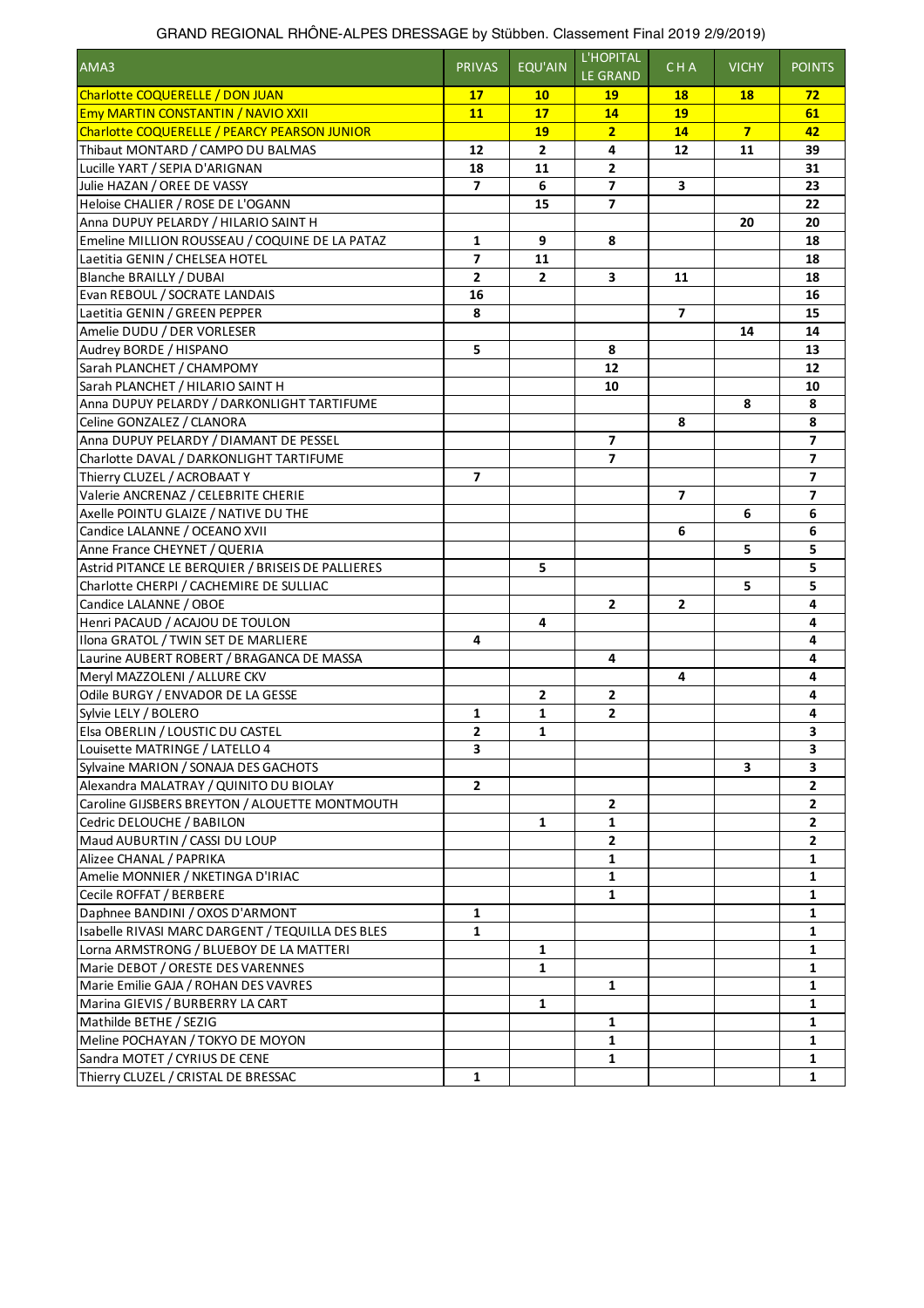| AMA3                                                | <b>PRIVAS</b>            | <b>EQU'AIN</b> | L'HOPITAL<br><b>LE GRAND</b> | CHA                      | <b>VICHY</b>   | <b>POINTS</b>  |
|-----------------------------------------------------|--------------------------|----------------|------------------------------|--------------------------|----------------|----------------|
| Charlotte COQUERELLE / DON JUAN                     | 17                       | <b>10</b>      | <b>19</b>                    | <b>18</b>                | <b>18</b>      | 72             |
| <b>Emy MARTIN CONSTANTIN / NAVIO XXII</b>           | 11                       | 17             | 14                           | 19                       |                | 61             |
| <b>Charlotte COQUERELLE / PEARCY PEARSON JUNIOR</b> |                          | 19             | 2 <sub>2</sub>               | 14                       | $\overline{7}$ | 42             |
| Thibaut MONTARD / CAMPO DU BALMAS                   | 12                       | $\overline{2}$ | 4                            | 12                       | 11             | 39             |
| Lucille YART / SEPIA D'ARIGNAN                      | 18                       | 11             | $\mathbf{2}$                 |                          |                | 31             |
| Julie HAZAN / OREE DE VASSY                         | $\overline{\mathbf{z}}$  | 6              | $\overline{\mathbf{z}}$      | 3                        |                | 23             |
| Heloise CHALIER / ROSE DE L'OGANN                   |                          | 15             | 7                            |                          |                | 22             |
| Anna DUPUY PELARDY / HILARIO SAINT H                |                          |                |                              |                          | 20             | 20             |
| Emeline MILLION ROUSSEAU / COQUINE DE LA PATAZ      | 1                        | 9              | 8                            |                          |                | 18             |
| Laetitia GENIN / CHELSEA HOTEL                      | $\overline{\phantom{a}}$ | 11             |                              |                          |                | 18             |
| Blanche BRAILLY / DUBAI                             | $\overline{2}$           | $\overline{2}$ | 3                            | 11                       |                | 18             |
| Evan REBOUL / SOCRATE LANDAIS                       | 16                       |                |                              |                          |                | 16             |
| Laetitia GENIN / GREEN PEPPER                       | 8                        |                |                              | $\overline{7}$           |                | 15             |
| Amelie DUDU / DER VORLESER                          |                          |                |                              |                          | 14             | 14             |
| Audrey BORDE / HISPANO                              | 5                        |                | 8                            |                          |                | 13             |
| Sarah PLANCHET / CHAMPOMY                           |                          |                | 12                           |                          |                | 12             |
| Sarah PLANCHET / HILARIO SAINT H                    |                          |                | 10                           |                          |                | 10             |
| Anna DUPUY PELARDY / DARKONLIGHT TARTIFUME          |                          |                |                              |                          | 8              | 8              |
| Celine GONZALEZ / CLANORA                           |                          |                |                              | 8                        |                | 8              |
| Anna DUPUY PELARDY / DIAMANT DE PESSEL              |                          |                | $\overline{\mathbf{z}}$      |                          |                | $\overline{ }$ |
| Charlotte DAVAL / DARKONLIGHT TARTIFUME             |                          |                | $\overline{\phantom{a}}$     |                          |                | $\overline{7}$ |
| Thierry CLUZEL / ACROBAAT Y                         | $\overline{ }$           |                |                              |                          |                | $\overline{7}$ |
| Valerie ANCRENAZ / CELEBRITE CHERIE                 |                          |                |                              | $\overline{\phantom{a}}$ |                | 7              |
| Axelle POINTU GLAIZE / NATIVE DU THE                |                          |                |                              |                          | 6              | 6              |
| Candice LALANNE / OCEANO XVII                       |                          |                |                              | 6                        |                | 6              |
| Anne France CHEYNET / QUERIA                        |                          |                |                              |                          | 5              | 5              |
| Astrid PITANCE LE BERQUIER / BRISEIS DE PALLIERES   |                          | 5              |                              |                          |                | 5              |
| Charlotte CHERPI / CACHEMIRE DE SULLIAC             |                          |                |                              |                          | 5              | 5              |
| Candice LALANNE / OBOE                              |                          |                | $\mathbf{2}$                 | 2                        |                | 4              |
| Henri PACAUD / ACAJOU DE TOULON                     |                          | 4              |                              |                          |                | 4              |
| Ilona GRATOL / TWIN SET DE MARLIERE                 | 4                        |                |                              |                          |                | 4              |
| Laurine AUBERT ROBERT / BRAGANCA DE MASSA           |                          |                | 4                            |                          |                | 4              |
| Meryl MAZZOLENI / ALLURE CKV                        |                          |                |                              | 4                        |                | 4              |
| Odile BURGY / ENVADOR DE LA GESSE                   |                          | 2              | 2                            |                          |                | 4              |
| Sylvie LELY / BOLERO                                | 1                        | 1              | 2                            |                          |                | 4              |
| Elsa OBERLIN / LOUSTIC DU CASTEL                    | $\mathbf{z}$             | 1              |                              |                          |                | 3              |
| Louisette MATRINGE / LATELLO 4                      | 3                        |                |                              |                          |                | 3              |
| Sylvaine MARION / SONAJA DES GACHOTS                |                          |                |                              |                          | 3              | 3              |
| Alexandra MALATRAY / QUINITO DU BIOLAY              | $\mathbf{2}$             |                |                              |                          |                | $\overline{2}$ |
| Caroline GIJSBERS BREYTON / ALOUETTE MONTMOUTH      |                          |                | 2                            |                          |                | $\mathbf{2}$   |
| Cedric DELOUCHE / BABILON                           |                          | 1              | 1                            |                          |                | $\mathbf{2}$   |
| Maud AUBURTIN / CASSI DU LOUP                       |                          |                | $\mathbf{2}$                 |                          |                | $\mathbf{2}$   |
| Alizee CHANAL / PAPRIKA                             |                          |                | 1                            |                          |                | 1              |
| Amelie MONNIER / NKETINGA D'IRIAC                   |                          |                | 1                            |                          |                | $\mathbf{1}$   |
| Cecile ROFFAT / BERBERE                             |                          |                | 1                            |                          |                | 1              |
| Daphnee BANDINI / OXOS D'ARMONT                     | 1                        |                |                              |                          |                | 1              |
| Isabelle RIVASI MARC DARGENT / TEQUILLA DES BLES    | 1                        |                |                              |                          |                | $\mathbf{1}$   |
| Lorna ARMSTRONG / BLUEBOY DE LA MATTERI             |                          | 1              |                              |                          |                | 1              |
| Marie DEBOT / ORESTE DES VARENNES                   |                          | 1              |                              |                          |                | 1              |
| Marie Emilie GAJA / ROHAN DES VAVRES                |                          |                | 1                            |                          |                | 1              |
| Marina GIEVIS / BURBERRY LA CART                    |                          | 1              |                              |                          |                | 1              |
| Mathilde BETHE / SEZIG                              |                          |                | 1                            |                          |                | $\mathbf{1}$   |
| Meline POCHAYAN / TOKYO DE MOYON                    |                          |                | 1                            |                          |                | 1              |
| Sandra MOTET / CYRIUS DE CENE                       |                          |                | 1                            |                          |                | 1              |
| Thierry CLUZEL / CRISTAL DE BRESSAC                 | $\mathbf{1}$             |                |                              |                          |                | $\mathbf{1}$   |

## GRAND REGIONAL RHÔNE-ALPES DRESSAGE by Stübben. Classement Final 2019 2/9/2019)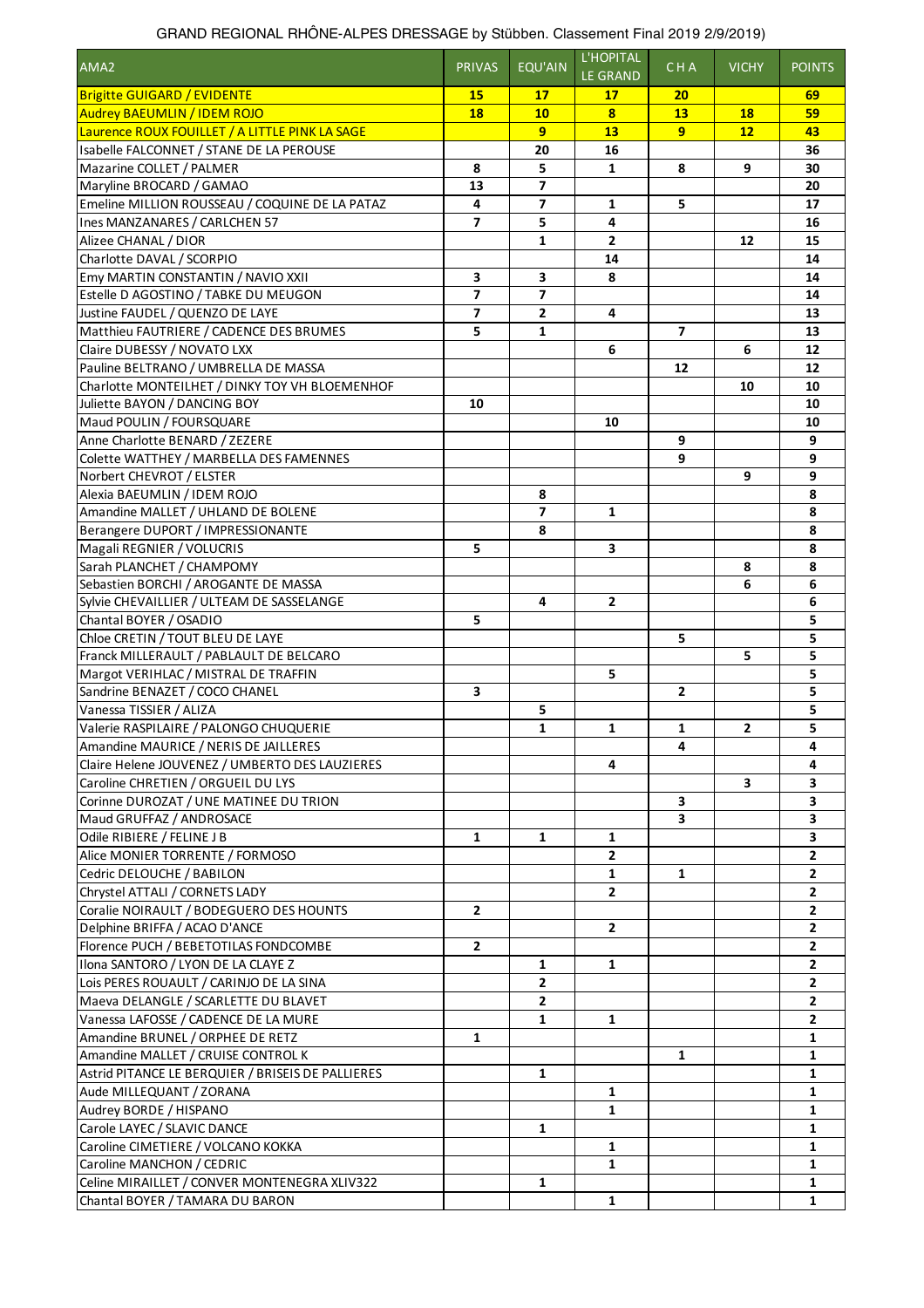| AMA <sub>2</sub>                                                           | <b>PRIVAS</b>  | EQU'AIN                                    | L'HOPITAL<br><b>LE GRAND</b> | <b>CHA</b>     | <b>VICHY</b>   | <b>POINTS</b> |
|----------------------------------------------------------------------------|----------------|--------------------------------------------|------------------------------|----------------|----------------|---------------|
| <b>Brigitte GUIGARD / EVIDENTE</b>                                         | 15             | 17                                         | 17                           | 20             |                | 69            |
| <b>Audrey BAEUMLIN / IDEM ROJO</b>                                         | 18             | 10                                         | 8                            | 13             | <b>18</b>      | 59            |
| Laurence ROUX FOUILLET / A LITTLE PINK LA SAGE                             |                | 9                                          | 13                           | 9              | 12             | 43            |
| Isabelle FALCONNET / STANE DE LA PEROUSE                                   |                | 20                                         | 16                           |                |                | 36            |
| Mazarine COLLET / PALMER                                                   | 8              | 5                                          | $\mathbf{1}$                 | 8              | 9              | 30            |
| Maryline BROCARD / GAMAO                                                   | 13             | $\overline{\phantom{a}}$                   |                              |                |                | 20            |
| Emeline MILLION ROUSSEAU / COQUINE DE LA PATAZ                             | 4              | $\overline{\phantom{a}}$                   | $\mathbf{1}$                 | 5              |                | 17            |
| Ines MANZANARES / CARLCHEN 57                                              | $\overline{ }$ | 5                                          | 4                            |                |                | 16            |
| Alizee CHANAL / DIOR                                                       |                | 1                                          | $\overline{2}$               |                | 12             | 15            |
| Charlotte DAVAL / SCORPIO                                                  |                |                                            | 14                           |                |                | 14            |
| Emy MARTIN CONSTANTIN / NAVIO XXII                                         | 3              | 3                                          | 8                            |                |                | 14            |
| Estelle D AGOSTINO / TABKE DU MEUGON                                       | 7<br>7         | $\overline{\phantom{a}}$<br>$\overline{2}$ |                              |                |                | 14            |
| Justine FAUDEL / QUENZO DE LAYE<br>Matthieu FAUTRIERE / CADENCE DES BRUMES | 5              | 1                                          | 4                            | $\overline{ }$ |                | 13<br>13      |
| Claire DUBESSY / NOVATO LXX                                                |                |                                            |                              |                | 6              |               |
| Pauline BELTRANO / UMBRELLA DE MASSA                                       |                |                                            | 6                            |                |                | 12<br>12      |
| Charlotte MONTEILHET / DINKY TOY VH BLOEMENHOF                             |                |                                            |                              | 12             | 10             | 10            |
| Juliette BAYON / DANCING BOY                                               | 10             |                                            |                              |                |                | 10            |
| Maud POULIN / FOURSQUARE                                                   |                |                                            | 10                           |                |                | 10            |
| Anne Charlotte BENARD / ZEZERE                                             |                |                                            |                              | 9              |                | 9             |
| Colette WATTHEY / MARBELLA DES FAMENNES                                    |                |                                            |                              | 9              |                | 9             |
| Norbert CHEVROT / ELSTER                                                   |                |                                            |                              |                | 9              | 9             |
| Alexia BAEUMLIN / IDEM ROJO                                                |                | 8                                          |                              |                |                | 8             |
| Amandine MALLET / UHLAND DE BOLENE                                         |                | $\overline{\phantom{a}}$                   | 1                            |                |                | 8             |
| Berangere DUPORT / IMPRESSIONANTE                                          |                | 8                                          |                              |                |                | 8             |
| Magali REGNIER / VOLUCRIS                                                  | 5              |                                            | 3                            |                |                | 8             |
| Sarah PLANCHET / CHAMPOMY                                                  |                |                                            |                              |                | 8              | 8             |
| Sebastien BORCHI / AROGANTE DE MASSA                                       |                |                                            |                              |                | 6              | 6             |
| Sylvie CHEVAILLIER / ULTEAM DE SASSELANGE                                  |                | 4                                          | $\overline{2}$               |                |                | 6             |
| Chantal BOYER / OSADIO                                                     | 5              |                                            |                              |                |                | 5             |
| Chloe CRETIN / TOUT BLEU DE LAYE                                           |                |                                            |                              | 5              |                | 5             |
| Franck MILLERAULT / PABLAULT DE BELCARO                                    |                |                                            |                              |                | 5              | 5             |
| Margot VERIHLAC / MISTRAL DE TRAFFIN                                       |                |                                            | 5                            |                |                | 5             |
| Sandrine BENAZET / COCO CHANEL                                             | 3              |                                            |                              | $\overline{2}$ |                | 5             |
| Vanessa TISSIER / ALIZA                                                    |                | 5                                          |                              |                |                | 5             |
| Valerie RASPILAIRE / PALONGO CHUQUERIE                                     |                | $\mathbf{1}$                               | $\mathbf{1}$                 | 1              | $\overline{2}$ | 5             |
| Amandine MAURICE / NERIS DE JAILLERES                                      |                |                                            |                              | 4              |                | 4             |
| Claire Helene JOUVENEZ / UMBERTO DES LAUZIERES                             |                |                                            | 4                            |                |                | 4             |
| Caroline CHRETIEN / ORGUEIL DU LYS                                         |                |                                            |                              |                | 3              | 3             |
| Corinne DUROZAT / UNE MATINEE DU TRION                                     |                |                                            |                              | 3              |                | 3             |
| Maud GRUFFAZ / ANDROSACE                                                   |                |                                            |                              | 3              |                | 3             |
| Odile RIBIERE / FELINE J B                                                 | $\mathbf{1}$   | $\mathbf{1}$                               | $\mathbf{1}$                 |                |                | 3             |
| Alice MONIER TORRENTE / FORMOSO                                            |                |                                            | $\mathbf{2}$                 |                |                | 2             |
| Cedric DELOUCHE / BABILON                                                  |                |                                            | 1                            | $\mathbf{1}$   |                | $\mathbf{2}$  |
| Chrystel ATTALI / CORNETS LADY                                             |                |                                            | 2                            |                |                | $\mathbf{2}$  |
| Coralie NOIRAULT / BODEGUERO DES HOUNTS                                    | $\mathbf{2}$   |                                            |                              |                |                | $\mathbf{2}$  |
| Delphine BRIFFA / ACAO D'ANCE                                              |                |                                            | $\overline{2}$               |                |                | $\mathbf{2}$  |
| Florence PUCH / BEBETOTILAS FONDCOMBE                                      | 2              |                                            |                              |                |                | 2             |
| Ilona SANTORO / LYON DE LA CLAYE Z                                         |                | 1                                          | 1                            |                |                | 2             |
| Lois PERES ROUAULT / CARINJO DE LA SINA                                    |                | 2                                          |                              |                |                | 2             |
| Maeva DELANGLE / SCARLETTE DU BLAVET                                       |                | 2                                          |                              |                |                | 2             |
| Vanessa LAFOSSE / CADENCE DE LA MURE                                       |                | $\mathbf{1}$                               | 1                            |                |                | $\mathbf{2}$  |
| Amandine BRUNEL / ORPHEE DE RETZ                                           | $\mathbf{1}$   |                                            |                              |                |                | 1             |
| Amandine MALLET / CRUISE CONTROL K                                         |                |                                            |                              | $\mathbf{1}$   |                | 1             |
| Astrid PITANCE LE BERQUIER / BRISEIS DE PALLIERES                          |                | $\mathbf{1}$                               |                              |                |                | 1             |
| Aude MILLEQUANT / ZORANA                                                   |                |                                            | 1                            |                |                | 1             |
| Audrey BORDE / HISPANO                                                     |                |                                            | $\mathbf{1}$                 |                |                | $\mathbf{1}$  |
| Carole LAYEC / SLAVIC DANCE                                                |                | $\mathbf{1}$                               |                              |                |                | 1             |
| Caroline CIMETIERE / VOLCANO KOKKA                                         |                |                                            | 1                            |                |                | 1             |
| Caroline MANCHON / CEDRIC                                                  |                |                                            | 1                            |                |                | 1             |
| Celine MIRAILLET / CONVER MONTENEGRA XLIV322                               |                | $\mathbf{1}$                               |                              |                |                | 1             |
| Chantal BOYER / TAMARA DU BARON                                            |                |                                            | 1                            |                |                | 1             |

## GRAND REGIONAL RHÔNE-ALPES DRESSAGE by Stübben. Classement Final 2019 2/9/2019)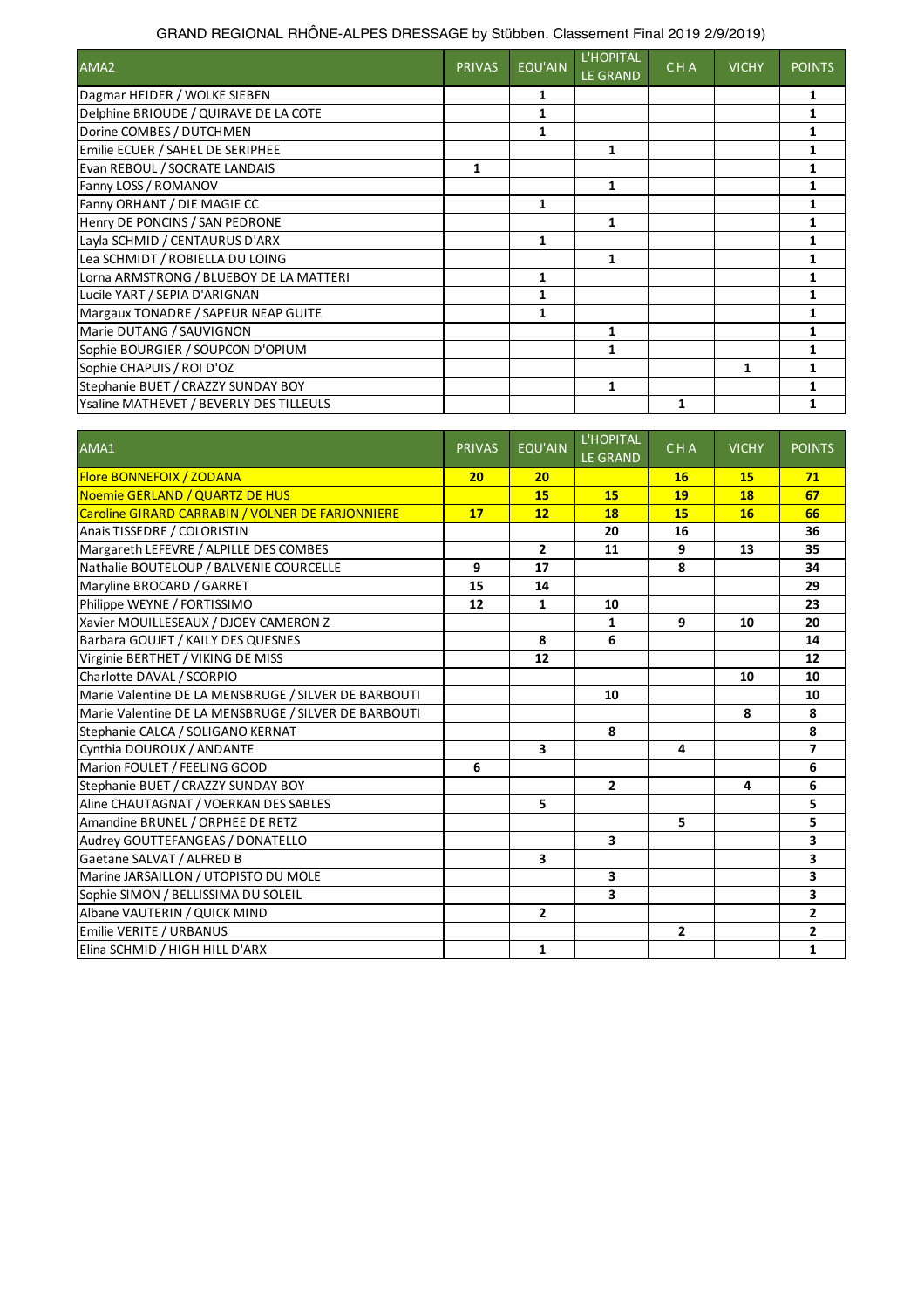## GRAND REGIONAL RHÔNE-ALPES DRESSAGE by Stübben. Classement Final 2019 2/9/2019)

| AMA2                                    | <b>PRIVAS</b> | EQU'AIN | L'HOPITAL<br><b>LE GRAND</b> | <b>CHA</b> | <b>VICHY</b> | <b>POINTS</b> |
|-----------------------------------------|---------------|---------|------------------------------|------------|--------------|---------------|
| Dagmar HEIDER / WOLKE SIEBEN            |               |         |                              |            |              |               |
| Delphine BRIOUDE / QUIRAVE DE LA COTE   |               |         |                              |            |              |               |
| Dorine COMBES / DUTCHMEN                |               | 1       |                              |            |              |               |
| Emilie ECUER / SAHEL DE SERIPHEE        |               |         | 1                            |            |              |               |
| Evan REBOUL / SOCRATE LANDAIS           | 1             |         |                              |            |              |               |
| Fanny LOSS / ROMANOV                    |               |         | 1                            |            |              |               |
| Fanny ORHANT / DIE MAGIE CC             |               | 1       |                              |            |              |               |
| Henry DE PONCINS / SAN PEDRONE          |               |         |                              |            |              |               |
| Layla SCHMID / CENTAURUS D'ARX          |               | 1       |                              |            |              |               |
| Lea SCHMIDT / ROBIELLA DU LOING         |               |         | 1                            |            |              |               |
| Lorna ARMSTRONG / BLUEBOY DE LA MATTERI |               | 1       |                              |            |              |               |
| Lucile YART / SEPIA D'ARIGNAN           |               |         |                              |            |              |               |
| Margaux TONADRE / SAPEUR NEAP GUITE     |               | 1       |                              |            |              |               |
| Marie DUTANG / SAUVIGNON                |               |         | 1                            |            |              |               |
| Sophie BOURGIER / SOUPCON D'OPIUM       |               |         |                              |            |              |               |
| Sophie CHAPUIS / ROI D'OZ               |               |         |                              |            | 1            |               |
| Stephanie BUET / CRAZZY SUNDAY BOY      |               |         |                              |            |              |               |
| Ysaline MATHEVET / BEVERLY DES TILLEULS |               |         |                              |            |              |               |

| AMA1                                                 | <b>PRIVAS</b> | <b>EQU'AIN</b>          | <b>L'HOPITAL</b><br><b>LE GRAND</b> | <b>CHA</b>     | <b>VICHY</b> | <b>POINTS</b>  |
|------------------------------------------------------|---------------|-------------------------|-------------------------------------|----------------|--------------|----------------|
| <b>Flore BONNEFOIX / ZODANA</b>                      | 20            | 20                      |                                     | 16             | 15           | 71             |
| Noemie GERLAND / QUARTZ DE HUS                       |               | 15                      | 15                                  | 19             | 18           | 67             |
| Caroline GIRARD CARRABIN / VOLNER DE FARJONNIERE     | 17            | 12                      | 18                                  | 15             | 16           | 66             |
| Anais TISSEDRE / COLORISTIN                          |               |                         | 20                                  | 16             |              | 36             |
| Margareth LEFEVRE / ALPILLE DES COMBES               |               | $\overline{2}$          | 11                                  | 9              | 13           | 35             |
| Nathalie BOUTELOUP / BALVENIE COURCELLE              | 9             | 17                      |                                     | 8              |              | 34             |
| Maryline BROCARD / GARRET                            | 15            | 14                      |                                     |                |              | 29             |
| Philippe WEYNE / FORTISSIMO                          | 12            | 1                       | 10                                  |                |              | 23             |
| Xavier MOUILLESEAUX / DJOEY CAMERON Z                |               |                         | $\mathbf{1}$                        | 9              | 10           | 20             |
| Barbara GOUJET / KAILY DES QUESNES                   |               | 8                       | 6                                   |                |              | 14             |
| Virginie BERTHET / VIKING DE MISS                    |               | 12                      |                                     |                |              | 12             |
| Charlotte DAVAL / SCORPIO                            |               |                         |                                     |                | 10           | 10             |
| Marie Valentine DE LA MENSBRUGE / SILVER DE BARBOUTI |               |                         | 10                                  |                |              | 10             |
| Marie Valentine DE LA MENSBRUGE / SILVER DE BARBOUTI |               |                         |                                     |                | 8            | 8              |
| Stephanie CALCA / SOLIGANO KERNAT                    |               |                         | 8                                   |                |              | 8              |
| Cynthia DOUROUX / ANDANTE                            |               | $\overline{\mathbf{3}}$ |                                     | 4              |              | $\overline{7}$ |
| Marion FOULET / FEELING GOOD                         | 6             |                         |                                     |                |              | 6              |
| Stephanie BUET / CRAZZY SUNDAY BOY                   |               |                         | $\overline{2}$                      |                | 4            | 6              |
| Aline CHAUTAGNAT / VOERKAN DES SABLES                |               | 5                       |                                     |                |              | 5              |
| Amandine BRUNEL / ORPHEE DE RETZ                     |               |                         |                                     | 5              |              | 5              |
| Audrey GOUTTEFANGEAS / DONATELLO                     |               |                         | 3                                   |                |              | 3              |
| Gaetane SALVAT / ALFRED B                            |               | 3                       |                                     |                |              | 3              |
| Marine JARSAILLON / UTOPISTO DU MOLE                 |               |                         | 3                                   |                |              | 3              |
| Sophie SIMON / BELLISSIMA DU SOLEIL                  |               |                         | $\overline{\mathbf{3}}$             |                |              | 3              |
| Albane VAUTERIN / QUICK MIND                         |               | $\mathbf{2}$            |                                     |                |              | $\mathbf{2}$   |
| Emilie VERITE / URBANUS                              |               |                         |                                     | $\overline{2}$ |              | 2              |
| Elina SCHMID / HIGH HILL D'ARX                       |               | $\mathbf{1}$            |                                     |                |              | $\mathbf{1}$   |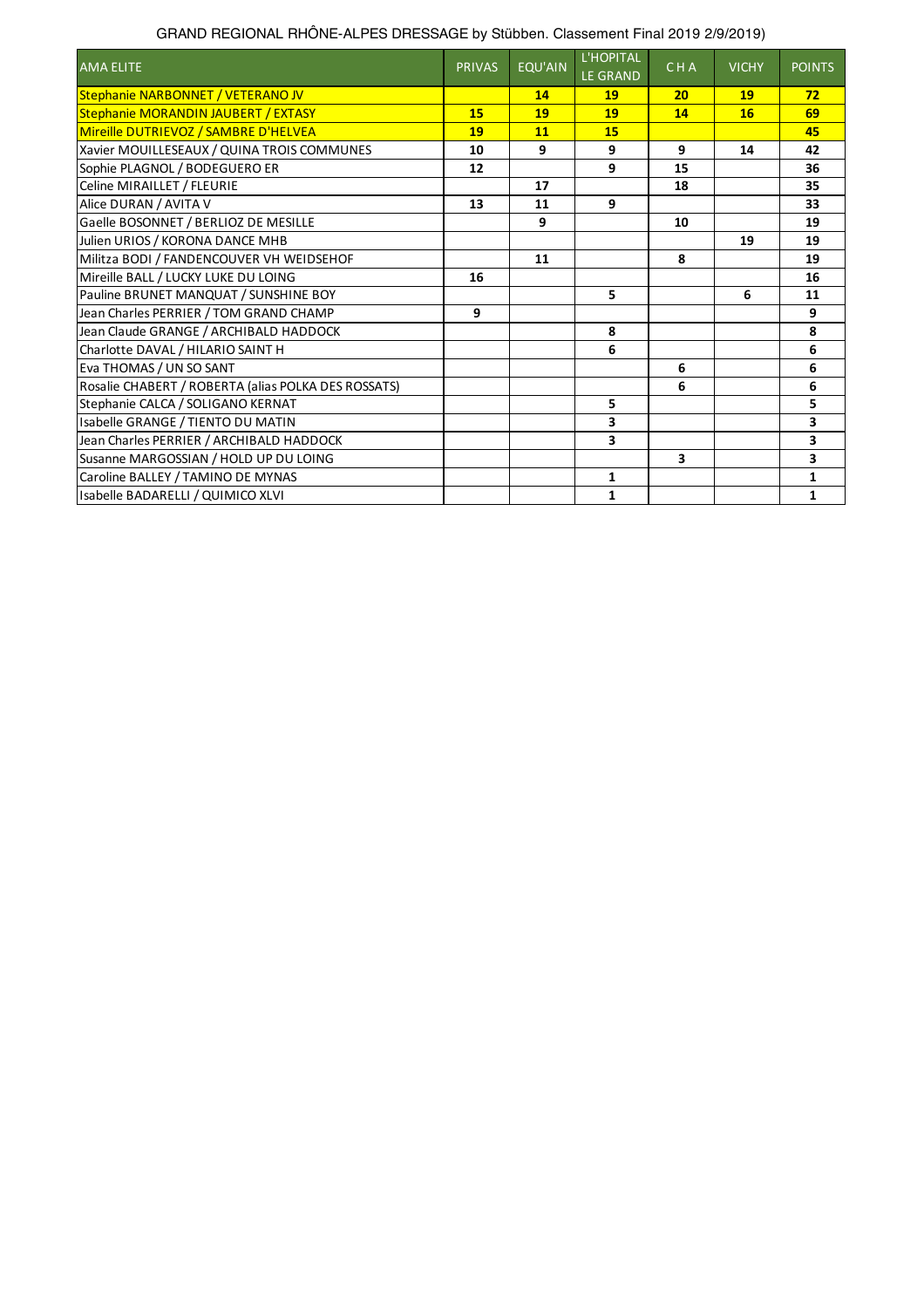| GRAND REGIONAL RHÖNE-ALPES DRESSAGE by Stübben. Classement Final 2019 2/9/2019) |  |  |
|---------------------------------------------------------------------------------|--|--|
|                                                                                 |  |  |
|                                                                                 |  |  |

| <b>AMA ELITE</b>                                    | <b>PRIVAS</b> | <b>EQU'AIN</b> | L'HOPITAL<br><b>LE GRAND</b> | <b>CHA</b> | <b>VICHY</b> | <b>POINTS</b> |
|-----------------------------------------------------|---------------|----------------|------------------------------|------------|--------------|---------------|
| Stephanie NARBONNET / VETERANO JV                   |               | 14             | 19                           | 20         | 19           | 72            |
| Stephanie MORANDIN JAUBERT / EXTASY                 | 15            | 19             | 19                           | 14         | 16           | 69            |
| Mireille DUTRIEVOZ / SAMBRE D'HELVEA                | 19            | 11             | 15                           |            |              | 45            |
| Xavier MOUILLESEAUX / QUINA TROIS COMMUNES          | 10            | 9              | 9                            | 9          | 14           | 42            |
| Sophie PLAGNOL / BODEGUERO ER                       | 12            |                | 9                            | 15         |              | 36            |
| Celine MIRAILLET / FLEURIE                          |               | 17             |                              | 18         |              | 35            |
| Alice DURAN / AVITA V                               | 13            | 11             | 9                            |            |              | 33            |
| Gaelle BOSONNET / BERLIOZ DE MESILLE                |               | 9              |                              | 10         |              | 19            |
| Julien URIOS / KORONA DANCE MHB                     |               |                |                              |            | 19           | 19            |
| Militza BODI / FANDENCOUVER VH WEIDSEHOF            |               | 11             |                              | 8          |              | 19            |
| Mireille BALL / LUCKY LUKE DU LOING                 | 16            |                |                              |            |              | 16            |
| Pauline BRUNET MANQUAT / SUNSHINE BOY               |               |                | 5                            |            | 6            | 11            |
| Jean Charles PERRIER / TOM GRAND CHAMP              | 9             |                |                              |            |              | 9             |
| Jean Claude GRANGE / ARCHIBALD HADDOCK              |               |                | 8                            |            |              | 8             |
| Charlotte DAVAL / HILARIO SAINT H                   |               |                | 6                            |            |              | 6             |
| Eva THOMAS / UN SO SANT                             |               |                |                              | 6          |              | 6             |
| Rosalie CHABERT / ROBERTA (alias POLKA DES ROSSATS) |               |                |                              | 6          |              | 6             |
| Stephanie CALCA / SOLIGANO KERNAT                   |               |                | 5                            |            |              | 5             |
| Isabelle GRANGE / TIENTO DU MATIN                   |               |                | 3                            |            |              | 3             |
| Jean Charles PERRIER / ARCHIBALD HADDOCK            |               |                | 3                            |            |              | 3             |
| Susanne MARGOSSIAN / HOLD UP DU LOING               |               |                |                              | 3          |              | 3             |
| Caroline BALLEY / TAMINO DE MYNAS                   |               |                | $\mathbf{1}$                 |            |              | $\mathbf{1}$  |
| Isabelle BADARELLI / QUIMICO XLVI                   |               |                | $\mathbf{1}$                 |            |              | $\mathbf{1}$  |